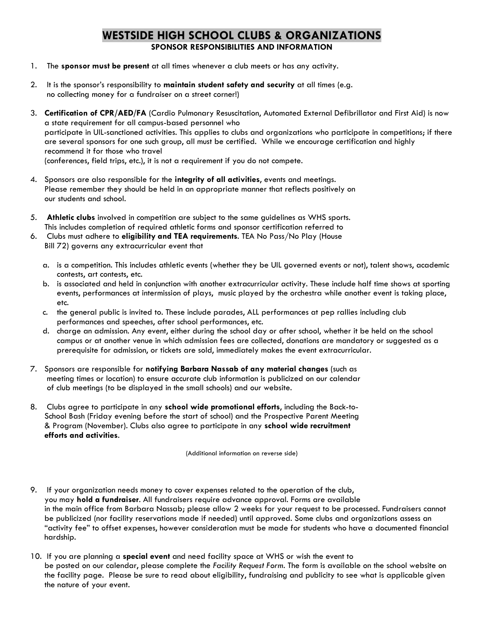## **WESTSIDE HIGH SCHOOL CLUBS & ORGANIZATIONS**

**SPONSOR RESPONSIBILITIES AND INFORMATION**

- 1. The **sponsor must be present** at all times whenever a club meets or has any activity.
- 2. It is the sponsor's responsibility to **maintain student safety and security** at all times (e.g. no collecting money for a fundraiser on a street corner!)
- 3. **Certification of CPR/AED/FA** (Cardio Pulmonary Resuscitation, Automated External Defibrillator and First Aid) is now a state requirement for all campus-based personnel who participate in UIL-sanctioned activities. This applies to clubs and organizations who participate in competitions; if there are several sponsors for one such group, all must be certified. While we encourage certification and highly recommend it for those who travel (conferences, field trips, etc.), it is not a requirement if you do not compete.
- 4. Sponsors are also responsible for the **integrity of all activities**, events and meetings. Please remember they should be held in an appropriate manner that reflects positively on our students and school.
- 5. **Athletic clubs** involved in competition are subject to the same guidelines as WHS sports. This includes completion of required athletic forms and sponsor certification referred to
- 6. Clubs must adhere to **eligibility and TEA requirements**. TEA No Pass/No Play (House Bill 72) governs any extracurricular event that
	- a. is a competition. This includes athletic events (whether they be UIL governed events or not), talent shows, academic contests, art contests, etc.
	- b. is associated and held in conjunction with another extracurricular activity. These include half time shows at sporting events, performances at intermission of plays, music played by the orchestra while another event is taking place, etc.
	- c. the general public is invited to. These include parades, ALL performances at pep rallies including club performances and speeches, after school performances, etc.
	- d. charge an admission. Any event, either during the school day or after school, whether it be held on the school campus or at another venue in which admission fees are collected, donations are mandatory or suggested as a prerequisite for admission, or tickets are sold, immediately makes the event extracurricular.
- 7. Sponsors are responsible for **notifying Barbara Nassab of any material changes** (such as meeting times or location) to ensure accurate club information is publicized on our calendar of club meetings (to be displayed in the small schools) and our website.
- 8. Clubs agree to participate in any **school wide promotional efforts**, including the Back-to-School Bash (Friday evening before the start of school) and the Prospective Parent Meeting & Program (November). Clubs also agree to participate in any **school wide recruitment efforts and activities**.

(Additional information on reverse side)

- 9. If your organization needs money to cover expenses related to the operation of the club, you may **hold a fundraiser**. All fundraisers require advance approval. Forms are available in the main office from Barbara Nassab; please allow 2 weeks for your request to be processed. Fundraisers cannot be publicized (nor facility reservations made if needed) until approved. Some clubs and organizations assess an "activity fee" to offset expenses, however consideration must be made for students who have a documented financial hardship.
- 10. If you are planning a **special event** and need facility space at WHS or wish the event to be posted on our calendar, please complete the *Facility Request Form*. The form is available on the school website on the facility page. Please be sure to read about eligibility, fundraising and publicity to see what is applicable given the nature of your event.